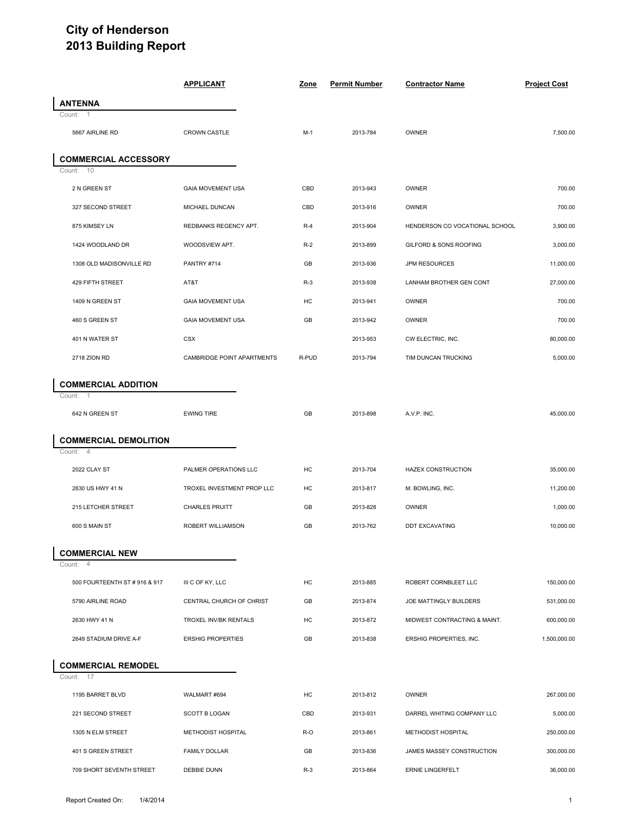## **City of Henderson 2013 Building Report**

|                  |                               | <b>APPLICANT</b>           | Zone  | <b>Permit Number</b> | <b>Contractor Name</b>         | <b>Project Cost</b> |  |
|------------------|-------------------------------|----------------------------|-------|----------------------|--------------------------------|---------------------|--|
| <b>ANTENNA</b>   |                               |                            |       |                      |                                |                     |  |
| Count: 1         |                               |                            |       |                      |                                |                     |  |
| 5667 AIRLINE RD  |                               | <b>CROWN CASTLE</b>        | $M-1$ | 2013-784             | OWNER                          | 7,500.00            |  |
|                  | <b>COMMERCIAL ACCESSORY</b>   |                            |       |                      |                                |                     |  |
| Count: 10        |                               |                            |       |                      |                                |                     |  |
| 2 N GREEN ST     |                               | <b>GAIA MOVEMENT USA</b>   | CBD   | 2013-943             | OWNER                          | 700.00              |  |
|                  | 327 SECOND STREET             | MICHAEL DUNCAN             | CBD   | 2013-916             | OWNER                          | 700.00              |  |
| 875 KIMSEY LN    |                               | REDBANKS REGENCY APT.      | $R-4$ | 2013-904             | HENDERSON CO VOCATIONAL SCHOOL | 3,900.00            |  |
|                  | 1424 WOODLAND DR              | WOODSVIEW APT.             | $R-2$ | 2013-899             | GILFORD & SONS ROOFING         | 3,000.00            |  |
|                  | 1308 OLD MADISONVILLE RD      | PANTRY #714                | GB    | 2013-936             | JPM RESOURCES                  | 11,000.00           |  |
|                  | 429 FIFTH STREET              | AT&T                       | $R-3$ | 2013-938             | LANHAM BROTHER GEN CONT        | 27,000.00           |  |
| 1409 N GREEN ST  |                               | <b>GAIA MOVEMENT USA</b>   | HC    | 2013-941             | OWNER                          | 700.00              |  |
| 460 S GREEN ST   |                               | <b>GAIA MOVEMENT USA</b>   | GB    | 2013-942             | OWNER                          | 700.00              |  |
| 401 N WATER ST   |                               | <b>CSX</b>                 |       | 2013-953             | CW ELECTRIC, INC.              | 80,000.00           |  |
| 2718 ZION RD     |                               | CAMBRIDGE POINT APARTMENTS | R-PUD | 2013-794             | TIM DUNCAN TRUCKING            | 5,000.00            |  |
|                  | <b>COMMERCIAL ADDITION</b>    |                            |       |                      |                                |                     |  |
| Count: 1         |                               |                            |       |                      |                                |                     |  |
| 642 N GREEN ST   |                               | <b>EWING TIRE</b>          | GB    | 2013-898             | A.V.P. INC.                    | 45,000.00           |  |
|                  | <b>COMMERCIAL DEMOLITION</b>  |                            |       |                      |                                |                     |  |
| Count: 4         |                               |                            |       |                      |                                |                     |  |
| 2022 CLAY ST     |                               | PALMER OPERATIONS LLC      | HC    | 2013-704             | HAZEX CONSTRUCTION             | 35,000.00           |  |
| 2630 US HWY 41 N |                               | TROXEL INVESTMENT PROP LLC | HC    | 2013-817             | M. BOWLING, INC.               | 11,200.00           |  |
|                  | 215 LETCHER STREET            | <b>CHARLES PRUITT</b>      | GB    | 2013-828             | OWNER                          | 1,000.00            |  |
| 600 S MAIN ST    |                               | ROBERT WILLIAMSON          | GB    | 2013-762             | DDT EXCAVATING                 | 10,000.00           |  |
|                  | <b>COMMERCIAL NEW</b>         |                            |       |                      |                                |                     |  |
| Count: 4         |                               |                            |       |                      |                                |                     |  |
|                  | 500 FOURTEENTH ST # 916 & 917 | III C OF KY, LLC           | HC    | 2013-885             | ROBERT CORNBLEET LLC           | 150,000.00          |  |
|                  | 5790 AIRLINE ROAD             | CENTRAL CHURCH OF CHRIST   | GB    | 2013-874             | JOE MATTINGLY BUILDERS         | 531,000.00          |  |
| 2630 HWY 41 N    |                               | TROXEL INV/BK RENTALS      | HC    | 2013-872             | MIDWEST CONTRACTING & MAINT.   | 600,000.00          |  |
|                  | 2649 STADIUM DRIVE A-F        | <b>ERSHIG PROPERTIES</b>   | GB    | 2013-838             | ERSHIG PROPERTIES, INC.        | 1,500,000.00        |  |
|                  | <b>COMMERCIAL REMODEL</b>     |                            |       |                      |                                |                     |  |
| Count: 17        |                               |                            |       |                      |                                |                     |  |
|                  | 1195 BARRET BLVD              | WALMART #694               | HC    | 2013-812             | OWNER                          | 267,000.00          |  |
|                  | 221 SECOND STREET             | <b>SCOTT B LOGAN</b>       | CBD   | 2013-931             | DARREL WHITING COMPANY LLC     | 5,000.00            |  |
|                  | 1305 N ELM STREET             | METHODIST HOSPITAL         | R-O   | 2013-861             | METHODIST HOSPITAL             | 250,000.00          |  |
|                  | 401 S GREEN STREET            | <b>FAMILY DOLLAR</b>       | GB    | 2013-836             | JAMES MASSEY CONSTRUCTION      | 300,000.00          |  |
|                  | 709 SHORT SEVENTH STREET      | DEBBIE DUNN                | $R-3$ | 2013-864             | ERNIE LINGERFELT               | 36,000.00           |  |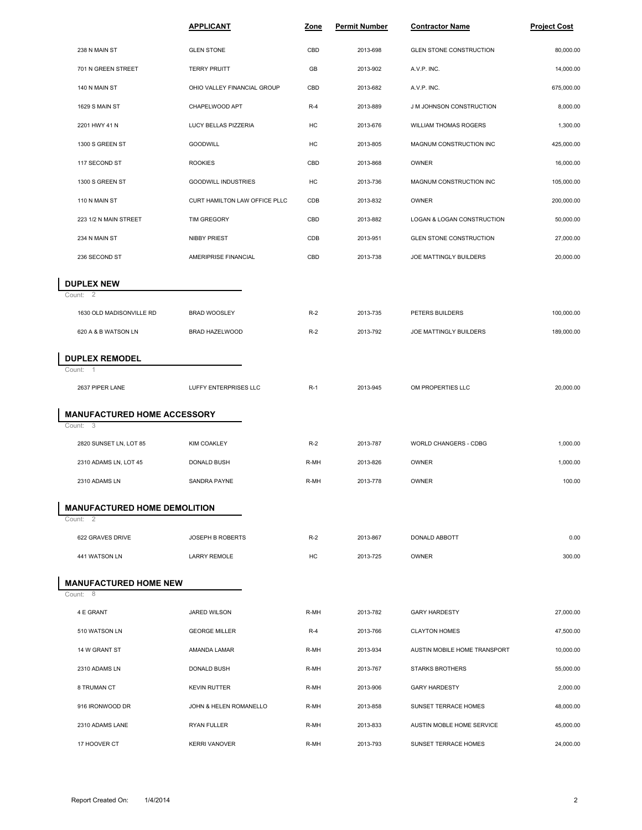|                   |                                     | <b>APPLICANT</b>              | Zone  | <b>Permit Number</b> | <b>Contractor Name</b>       | <b>Project Cost</b> |
|-------------------|-------------------------------------|-------------------------------|-------|----------------------|------------------------------|---------------------|
| 238 N MAIN ST     |                                     | <b>GLEN STONE</b>             | CBD   | 2013-698             | GLEN STONE CONSTRUCTION      | 80,000.00           |
|                   | 701 N GREEN STREET                  | <b>TERRY PRUITT</b>           | GB    | 2013-902             | A.V.P. INC.                  | 14,000.00           |
| 140 N MAIN ST     |                                     | OHIO VALLEY FINANCIAL GROUP   | CBD   | 2013-682             | A.V.P. INC.                  | 675,000.00          |
|                   | 1629 S MAIN ST                      | CHAPELWOOD APT                | $R-4$ | 2013-889             | J M JOHNSON CONSTRUCTION     | 8,000.00            |
| 2201 HWY 41 N     |                                     | LUCY BELLAS PIZZERIA          | HC    | 2013-676             | <b>WILLIAM THOMAS ROGERS</b> | 1,300.00            |
|                   | 1300 S GREEN ST                     | GOODWILL                      | HC    | 2013-805             | MAGNUM CONSTRUCTION INC      | 425,000.00          |
|                   | 117 SECOND ST                       | <b>ROOKIES</b>                | CBD   | 2013-868             | OWNER                        | 16,000.00           |
|                   | 1300 S GREEN ST                     | GOODWILL INDUSTRIES           | HC    | 2013-736             | MAGNUM CONSTRUCTION INC      | 105,000.00          |
| 110 N MAIN ST     |                                     | CURT HAMILTON LAW OFFICE PLLC | CDB   | 2013-832             | <b>OWNER</b>                 | 200,000.00          |
|                   | 223 1/2 N MAIN STREET               | TIM GREGORY                   | CBD   | 2013-882             | LOGAN & LOGAN CONSTRUCTION   | 50,000.00           |
| 234 N MAIN ST     |                                     | <b>NIBBY PRIEST</b>           | CDB   | 2013-951             | GLEN STONE CONSTRUCTION      | 27,000.00           |
|                   | 236 SECOND ST                       | AMERIPRISE FINANCIAL          | CBD   | 2013-738             | JOE MATTINGLY BUILDERS       | 20,000.00           |
| <b>DUPLEX NEW</b> |                                     |                               |       |                      |                              |                     |
| Count: 2          |                                     |                               |       |                      |                              |                     |
|                   | 1630 OLD MADISONVILLE RD            | <b>BRAD WOOSLEY</b>           | $R-2$ | 2013-735             | PETERS BUILDERS              | 100,000.00          |
|                   | 620 A & B WATSON LN                 | BRAD HAZELWOOD                | $R-2$ | 2013-792             | JOE MATTINGLY BUILDERS       | 189,000.00          |
|                   | <b>DUPLEX REMODEL</b>               |                               |       |                      |                              |                     |
| Count: 1          |                                     |                               |       |                      |                              |                     |
|                   | 2637 PIPER LANE                     | LUFFY ENTERPRISES LLC         | $R-1$ | 2013-945             | OM PROPERTIES LLC            | 20,000.00           |
|                   | <b>MANUFACTURED HOME ACCESSORY</b>  |                               |       |                      |                              |                     |
| Count: 3          |                                     |                               |       |                      |                              |                     |
|                   | 2820 SUNSET LN, LOT 85              | <b>KIM COAKLEY</b>            | $R-2$ | 2013-787             | WORLD CHANGERS - CDBG        | 1,000.00            |
|                   | 2310 ADAMS LN, LOT 45               | DONALD BUSH                   | R-MH  | 2013-826             | OWNER                        | 1,000.00            |
|                   | 2310 ADAMS LN                       | SANDRA PAYNE                  | R-MH  | 2013-778             | <b>OWNER</b>                 | 100.00              |
|                   | <b>MANUFACTURED HOME DEMOLITION</b> |                               |       |                      |                              |                     |
| Count: 2          |                                     |                               |       |                      |                              |                     |
|                   | 622 GRAVES DRIVE                    | JOSEPH B ROBERTS              | $R-2$ | 2013-867             | DONALD ABBOTT                | 0.00                |
|                   | 441 WATSON LN                       | <b>LARRY REMOLE</b>           | НC    | 2013-725             | OWNER                        | 300.00              |
|                   | <b>MANUFACTURED HOME NEW</b>        |                               |       |                      |                              |                     |
| Count: 8          |                                     |                               |       |                      |                              |                     |
| 4 E GRANT         |                                     | JARED WILSON                  | R-MH  | 2013-782             | <b>GARY HARDESTY</b>         | 27,000.00           |
|                   | 510 WATSON LN                       | <b>GEORGE MILLER</b>          | $R-4$ | 2013-766             | <b>CLAYTON HOMES</b>         | 47,500.00           |
|                   | 14 W GRANT ST                       | AMANDA LAMAR                  | R-MH  | 2013-934             | AUSTIN MOBILE HOME TRANSPORT | 10,000.00           |
|                   | 2310 ADAMS LN                       | DONALD BUSH                   | R-MH  | 2013-767             | <b>STARKS BROTHERS</b>       | 55,000.00           |
| 8 TRUMAN CT       |                                     | <b>KEVIN RUTTER</b>           | R-MH  | 2013-906             | <b>GARY HARDESTY</b>         | 2,000.00            |
|                   | 916 IRONWOOD DR                     | JOHN & HELEN ROMANELLO        | R-MH  | 2013-858             | SUNSET TERRACE HOMES         | 48,000.00           |
|                   | 2310 ADAMS LANE                     | RYAN FULLER                   | R-MH  | 2013-833             | AUSTIN MOBLE HOME SERVICE    | 45,000.00           |
|                   | 17 HOOVER CT                        | <b>KERRI VANOVER</b>          | R-MH  | 2013-793             | SUNSET TERRACE HOMES         | 24,000.00           |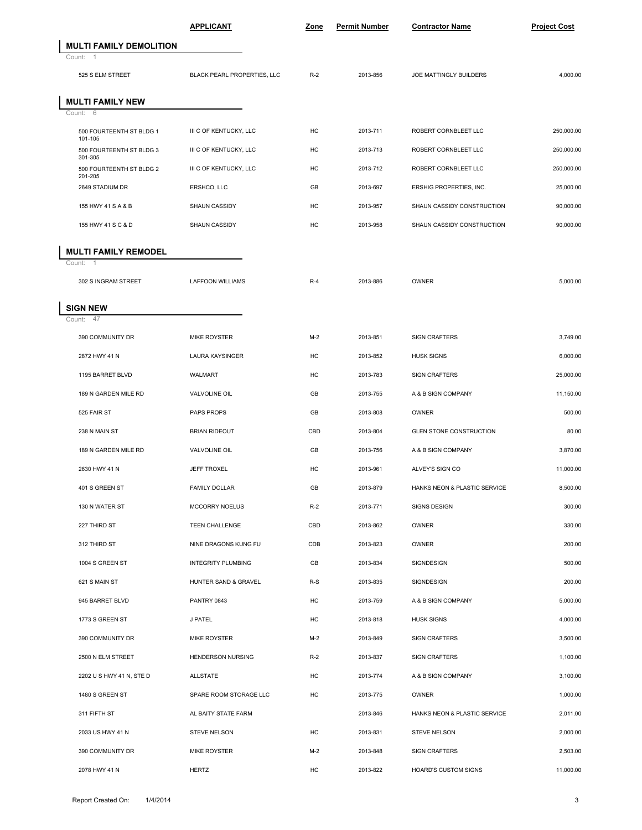|                                     | <b>APPLICANT</b>            | Zone  | <b>Permit Number</b> | <b>Contractor Name</b>         | <b>Project Cost</b> |  |
|-------------------------------------|-----------------------------|-------|----------------------|--------------------------------|---------------------|--|
| <b>MULTI FAMILY DEMOLITION</b>      |                             |       |                      |                                |                     |  |
| Count:<br>$\overline{1}$            |                             |       |                      |                                |                     |  |
| 525 S ELM STREET                    | BLACK PEARL PROPERTIES, LLC | $R-2$ | 2013-856             | JOE MATTINGLY BUILDERS         | 4,000.00            |  |
| <b>MULTI FAMILY NEW</b>             |                             |       |                      |                                |                     |  |
| Count:<br>- 6                       |                             |       |                      |                                |                     |  |
| 500 FOURTEENTH ST BLDG 1<br>101-105 | III C OF KENTUCKY, LLC      | HC    | 2013-711             | ROBERT CORNBLEET LLC           | 250,000.00          |  |
| 500 FOURTEENTH ST BLDG 3<br>301-305 | III C OF KENTUCKY, LLC      | HC    | 2013-713             | ROBERT CORNBLEET LLC           | 250,000.00          |  |
| 500 FOURTEENTH ST BLDG 2<br>201-205 | III C OF KENTUCKY, LLC      | HC    | 2013-712             | ROBERT CORNBLEET LLC           | 250,000.00          |  |
| 2649 STADIUM DR                     | ERSHCO, LLC                 | GB    | 2013-697             | ERSHIG PROPERTIES, INC.        | 25,000.00           |  |
| 155 HWY 41 S A & B                  | SHAUN CASSIDY               | HC    | 2013-957             | SHAUN CASSIDY CONSTRUCTION     | 90,000.00           |  |
| 155 HWY 41 S C & D                  | SHAUN CASSIDY               | HC    | 2013-958             | SHAUN CASSIDY CONSTRUCTION     | 90,000.00           |  |
| <b>MULTI FAMILY REMODEL</b>         |                             |       |                      |                                |                     |  |
| Count: 1                            |                             |       |                      |                                |                     |  |
| 302 S INGRAM STREET                 | LAFFOON WILLIAMS            | $R-4$ | 2013-886             | OWNER                          | 5,000.00            |  |
| <b>SIGN NEW</b>                     |                             |       |                      |                                |                     |  |
| 47<br>Count:                        |                             |       |                      |                                |                     |  |
| 390 COMMUNITY DR                    | <b>MIKE ROYSTER</b>         | $M-2$ | 2013-851             | <b>SIGN CRAFTERS</b>           | 3,749.00            |  |
| 2872 HWY 41 N                       | <b>LAURA KAYSINGER</b>      | HC    | 2013-852             | <b>HUSK SIGNS</b>              | 6,000.00            |  |
| 1195 BARRET BLVD                    | WALMART                     | HC    | 2013-783             | <b>SIGN CRAFTERS</b>           | 25,000.00           |  |
| 189 N GARDEN MILE RD                | VALVOLINE OIL               | GB    | 2013-755             | A & B SIGN COMPANY             | 11,150.00           |  |
| 525 FAIR ST                         | PAPS PROPS                  | GB    | 2013-808             | OWNER                          | 500.00              |  |
| 238 N MAIN ST                       | <b>BRIAN RIDEOUT</b>        | CBD   | 2013-804             | <b>GLEN STONE CONSTRUCTION</b> | 80.00               |  |
| 189 N GARDEN MILE RD                | <b>VALVOLINE OIL</b>        | GB    | 2013-756             | A & B SIGN COMPANY             | 3,870.00            |  |
| 2630 HWY 41 N                       | <b>JEFF TROXEL</b>          | HC    | 2013-961             | ALVEY'S SIGN CO                | 11,000.00           |  |
| 401 S GREEN ST                      | <b>FAMILY DOLLAR</b>        | GB    | 2013-879             | HANKS NEON & PLASTIC SERVICE   | 8,500.00            |  |
| 130 N WATER ST                      | MCCORRY NOELUS              | $R-2$ | 2013-771             | SIGNS DESIGN                   | 300.00              |  |
| 227 THIRD ST                        | TEEN CHALLENGE              | CBD   | 2013-862             | OWNER                          | 330.00              |  |
| 312 THIRD ST                        | NINE DRAGONS KUNG FU        | CDB   | 2013-823             | OWNER                          | 200.00              |  |
| 1004 S GREEN ST                     | INTEGRITY PLUMBING          | GB    | 2013-834             | SIGNDESIGN                     | 500.00              |  |
| 621 S MAIN ST                       | HUNTER SAND & GRAVEL        | $R-S$ | 2013-835             | SIGNDESIGN                     | 200.00              |  |
| 945 BARRET BLVD                     | PANTRY 0843                 | HC    | 2013-759             | A & B SIGN COMPANY             | 5,000.00            |  |
| 1773 S GREEN ST                     | J PATEL                     | HC    | 2013-818             | <b>HUSK SIGNS</b>              | 4,000.00            |  |
| 390 COMMUNITY DR                    | MIKE ROYSTER                | $M-2$ | 2013-849             | SIGN CRAFTERS                  | 3,500.00            |  |
| 2500 N ELM STREET                   | HENDERSON NURSING           | $R-2$ | 2013-837             | SIGN CRAFTERS                  | 1,100.00            |  |
| 2202 U S HWY 41 N, STE D            | <b>ALLSTATE</b>             | HC    | 2013-774             | A & B SIGN COMPANY             | 3,100.00            |  |
| 1480 S GREEN ST                     | SPARE ROOM STORAGE LLC      | HC    | 2013-775             | <b>OWNER</b>                   | 1,000.00            |  |
| 311 FIFTH ST                        | AL BAITY STATE FARM         |       | 2013-846             | HANKS NEON & PLASTIC SERVICE   | 2,011.00            |  |
| 2033 US HWY 41 N                    | STEVE NELSON                | HC    | 2013-831             | STEVE NELSON                   | 2,000.00            |  |
| 390 COMMUNITY DR                    | MIKE ROYSTER                | $M-2$ | 2013-848             | SIGN CRAFTERS                  | 2,503.00            |  |
| 2078 HWY 41 N                       | <b>HERTZ</b>                | HC    | 2013-822             | HOARD'S CUSTOM SIGNS           | 11,000.00           |  |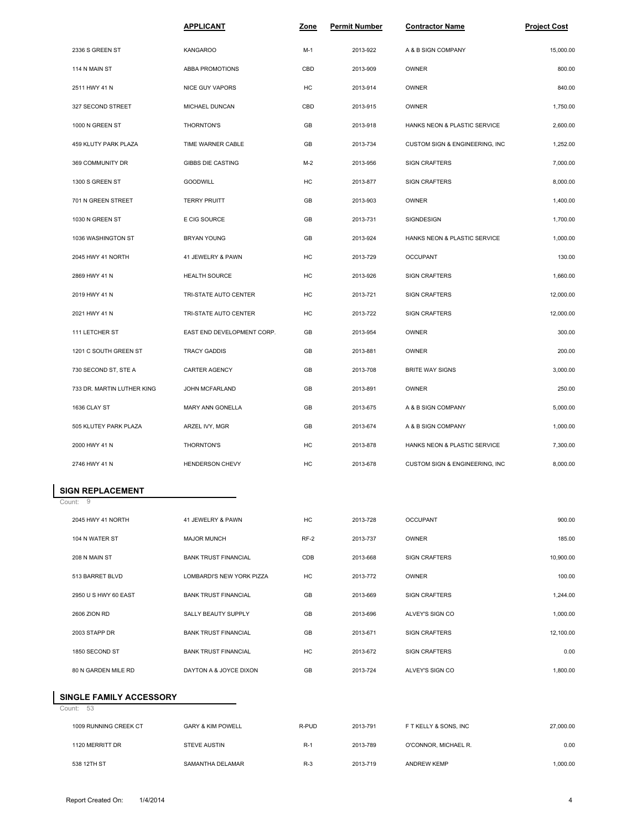|                                         | <b>APPLICANT</b>            | Zone   | <b>Permit Number</b> | <b>Contractor Name</b>         | <b>Project Cost</b> |
|-----------------------------------------|-----------------------------|--------|----------------------|--------------------------------|---------------------|
| 2336 S GREEN ST                         | <b>KANGAROO</b>             | $M-1$  | 2013-922             | A & B SIGN COMPANY             | 15,000.00           |
| 114 N MAIN ST                           | ABBA PROMOTIONS             | CBD    | 2013-909             | OWNER                          | 800.00              |
| 2511 HWY 41 N                           | <b>NICE GUY VAPORS</b>      | HC     | 2013-914             | <b>OWNER</b>                   | 840.00              |
| 327 SECOND STREET                       | MICHAEL DUNCAN              | CBD    | 2013-915             | OWNER                          | 1,750.00            |
| 1000 N GREEN ST                         | THORNTON'S                  | GB     | 2013-918             | HANKS NEON & PLASTIC SERVICE   | 2,600.00            |
| 459 KLUTY PARK PLAZA                    | TIME WARNER CABLE           | GB     | 2013-734             | CUSTOM SIGN & ENGINEERING, INC | 1,252.00            |
| 369 COMMUNITY DR                        | <b>GIBBS DIE CASTING</b>    | $M-2$  | 2013-956             | <b>SIGN CRAFTERS</b>           | 7,000.00            |
| 1300 S GREEN ST                         | <b>GOODWILL</b>             | HC     | 2013-877             | <b>SIGN CRAFTERS</b>           | 8,000.00            |
| 701 N GREEN STREET                      | <b>TERRY PRUITT</b>         | GB     | 2013-903             | <b>OWNER</b>                   | 1,400.00            |
| 1030 N GREEN ST                         | E CIG SOURCE                | GB     | 2013-731             | SIGNDESIGN                     | 1,700.00            |
| 1036 WASHINGTON ST                      | BRYAN YOUNG                 | GB     | 2013-924             | HANKS NEON & PLASTIC SERVICE   | 1,000.00            |
| 2045 HWY 41 NORTH                       | 41 JEWELRY & PAWN           | HC     | 2013-729             | <b>OCCUPANT</b>                | 130.00              |
| 2869 HWY 41 N                           | HEALTH SOURCE               | HC     | 2013-926             | <b>SIGN CRAFTERS</b>           | 1,660.00            |
| 2019 HWY 41 N                           | TRI-STATE AUTO CENTER       | HC     | 2013-721             | <b>SIGN CRAFTERS</b>           | 12,000.00           |
| 2021 HWY 41 N                           | TRI-STATE AUTO CENTER       | HC     | 2013-722             | <b>SIGN CRAFTERS</b>           | 12,000.00           |
| 111 LETCHER ST                          | EAST END DEVELOPMENT CORP.  | GB     | 2013-954             | <b>OWNER</b>                   | 300.00              |
| 1201 C SOUTH GREEN ST                   | <b>TRACY GADDIS</b>         | GB     | 2013-881             | OWNER                          | 200.00              |
| 730 SECOND ST, STE A                    | CARTER AGENCY               | GB     | 2013-708             | <b>BRITE WAY SIGNS</b>         | 3,000.00            |
| 733 DR. MARTIN LUTHER KING              | JOHN MCFARLAND              | GB     | 2013-891             | OWNER                          | 250.00              |
| 1636 CLAY ST                            | MARY ANN GONELLA            | GB     | 2013-675             | A & B SIGN COMPANY             | 5,000.00            |
| 505 KLUTEY PARK PLAZA                   | ARZEL IVY, MGR              | GB     | 2013-674             | A & B SIGN COMPANY             | 1,000.00            |
| 2000 HWY 41 N                           | THORNTON'S                  | HC     | 2013-878             | HANKS NEON & PLASTIC SERVICE   | 7,300.00            |
| 2746 HWY 41 N                           | HENDERSON CHEVY             | HC     | 2013-678             | CUSTOM SIGN & ENGINEERING, INC | 8,000.00            |
| <b>SIGN REPLACEMENT</b>                 |                             |        |                      |                                |                     |
| Count: 9                                |                             |        |                      |                                |                     |
| 2045 HWY 41 NORTH                       | 41 JEWELRY & PAWN           | HC     | 2013-728             | <b>OCCUPANT</b>                | 900.00              |
| 104 N WATER ST                          | <b>MAJOR MUNCH</b>          | $RF-2$ | 2013-737             | <b>OWNER</b>                   | 185.00              |
| 208 N MAIN ST                           | <b>BANK TRUST FINANCIAL</b> | CDB    | 2013-668             | <b>SIGN CRAFTERS</b>           | 10,900.00           |
| 513 BARRET BLVD                         | LOMBARDI'S NEW YORK PIZZA   | HC     | 2013-772             | OWNER                          | 100.00              |
| 2950 U S HWY 60 EAST                    | <b>BANK TRUST FINANCIAL</b> | GB     | 2013-669             | <b>SIGN CRAFTERS</b>           | 1,244.00            |
| 2606 ZION RD                            | SALLY BEAUTY SUPPLY         | GB     | 2013-696             | ALVEY'S SIGN CO                | 1,000.00            |
| 2003 STAPP DR                           | <b>BANK TRUST FINANCIAL</b> | GB     | 2013-671             | <b>SIGN CRAFTERS</b>           | 12,100.00           |
| 1850 SECOND ST                          | <b>BANK TRUST FINANCIAL</b> | HC     | 2013-672             | <b>SIGN CRAFTERS</b>           | 0.00                |
| 80 N GARDEN MILE RD                     | DAYTON A & JOYCE DIXON      | GB     | 2013-724             | ALVEY'S SIGN CO                | 1,800.00            |
| SINGLE FAMILY ACCESSORY<br>53<br>Count: |                             |        |                      |                                |                     |

| 1009 RUNNING CREEK CT | <b>GARY &amp; KIM POWELL</b> | R-PUD | 2013-791 | F T KELLY & SONS. INC | 27,000.00 |  |
|-----------------------|------------------------------|-------|----------|-----------------------|-----------|--|
| 1120 MERRITT DR       | <b>STEVE AUSTIN</b>          | $R-1$ | 2013-789 | O'CONNOR, MICHAEL R.  | 0.00      |  |
| 538 12TH ST           | SAMANTHA DELAMAR             | $R-3$ | 2013-719 | ANDREW KEMP           | 1,000.00  |  |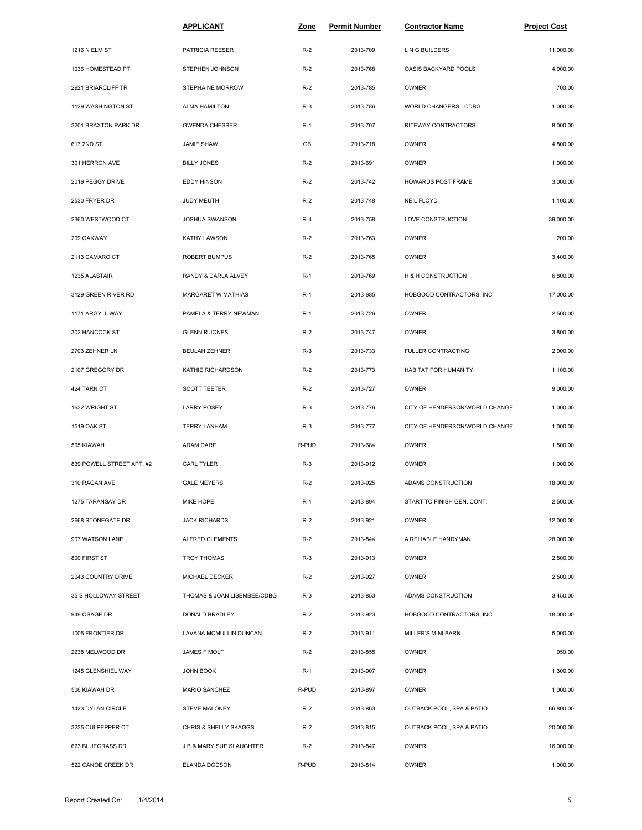|                           | <u>APPLICANT</u>            | Zone  | Permit Number | <u> Contractor Name</u>        | <b>Project Cost</b> |
|---------------------------|-----------------------------|-------|---------------|--------------------------------|---------------------|
| 1216 N ELM ST             | PATRICIA REESER             | $R-2$ | 2013-709      | L N G BUILDERS                 | 11,000.00           |
| 1036 HOMESTEAD PT         | STEPHEN JOHNSON             | $R-2$ | 2013-768      | OASIS BACKYARD POOLS           | 4,000.00            |
| 2921 BRIARCLIFF TR        | STEPHAINE MORROW            | $R-2$ | 2013-785      | OWNER                          | 700.00              |
| 1129 WASHINGTON ST        | <b>ALMA HAMILTON</b>        | $R-3$ | 2013-786      | <b>WORLD CHANGERS - CDBG</b>   | 1,000.00            |
| 3201 BRAXTON PARK DR      | <b>GWENDA CHESSER</b>       | $R-1$ | 2013-707      | RITEWAY CONTRACTORS            | 8,000.00            |
| 617 2ND ST                | <b>JAMIE SHAW</b>           | GB    | 2013-718      | OWNER                          | 4,800.00            |
| 301 HERRON AVE            | <b>BILLY JONES</b>          | $R-2$ | 2013-691      | OWNER                          | 1,000.00            |
| 2019 PEGGY DRIVE          | <b>EDDY HINSON</b>          | $R-2$ | 2013-742      | HOWARDS POST FRAME             | 3,000.00            |
| 2530 FRYER DR             | JUDY MEUTH                  | $R-2$ | 2013-748      | <b>NEIL FLOYD</b>              | 1,100.00            |
| 2360 WESTWOOD CT          | JOSHUA SWANSON              | $R-4$ | 2013-758      | LOVE CONSTRUCTION              | 39,000.00           |
| 209 OAKWAY                | KATHY LAWSON                | $R-2$ | 2013-763      | OWNER                          | 200.00              |
| 2113 CAMARO CT            | ROBERT BUMPUS               | $R-2$ | 2013-765      | OWNER                          | 3,400.00            |
| 1235 ALASTAIR             | RANDY & DARLA ALVEY         | $R-1$ | 2013-769      | H & H CONSTRUCTION             | 6,800.00            |
| 3129 GREEN RIVER RD       | MARGARET W MATHIAS          | $R-1$ | 2013-685      | HOBGOOD CONTRACTORS, INC       | 17,000.00           |
| 1171 ARGYLL WAY           | PAMELA & TERRY NEWMAN       | $R-1$ | 2013-726      | OWNER                          | 2,500.00            |
| 302 HANCOCK ST            | <b>GLENN R JONES</b>        | $R-2$ | 2013-747      | OWNER                          | 3,800.00            |
| 2703 ZEHNER LN            | <b>BEULAH ZEHNER</b>        | $R-3$ | 2013-733      | <b>FULLER CONTRACTING</b>      | 2,000.00            |
| 2107 GREGORY DR           | KATHIE RICHARDSON           | $R-2$ | 2013-773      | HABITAT FOR HUMANITY           | 1,100.00            |
| 424 TARN CT               | SCOTT TEETER                | $R-2$ | 2013-727      | OWNER                          | 9,000.00            |
| 1632 WRIGHT ST            | <b>LARRY POSEY</b>          | $R-3$ | 2013-776      | CITY OF HENDERSON/WORLD CHANGE | 1,000.00            |
| <b>1519 OAK ST</b>        | <b>TERRY LANHAM</b>         | $R-3$ | 2013-777      | CITY OF HENDERSON/WORLD CHANGE | 1,000.00            |
| 505 KIAWAH                | ADAM DARE                   | R-PUD | 2013-684      | OWNER                          | 1,500.00            |
| 839 POWELL STREET APT. #2 | CARL TYLER                  | $R-3$ | 2013-912      | OWNER                          | 1,000.00            |
| 310 RAGAN AVE             | <b>GALE MEYERS</b>          | $R-2$ | 2013-925      | ADAMS CONSTRUCTION             | 18,000.00           |
| 1275 TARANSAY DR          | MIKE HOPE                   | $R-1$ | 2013-894      | START TO FINISH GEN. CONT.     | 2,500.00            |
| 2668 STONEGATE DR         | <b>JACK RICHARDS</b>        | $R-2$ | 2013-921      | OWNER                          | 12,000.00           |
| 907 WATSON LANE           | ALFRED CLEMENTS             | $R-2$ | 2013-844      | A RELIABLE HANDYMAN            | 28,000.00           |
| 800 FIRST ST              | <b>TROY THOMAS</b>          | $R-3$ | 2013-913      | OWNER                          | 2,500.00            |
| 2043 COUNTRY DRIVE        | MICHAEL DECKER              | $R-2$ | 2013-927      | OWNER                          | 2,500.00            |
| 35 S HOLLOWAY STREET      | THOMAS & JOAN LISEMBEE/CDBG | $R-3$ | 2013-853      | ADAMS CONSTRUCTION             | 3,450.00            |
| 949 OSAGE DR              | DONALD BRADLEY              | $R-2$ | 2013-923      | HOBGOOD CONTRACTORS, INC.      | 18,000.00           |
| 1005 FRONTIER DR          | LAVANA MCMULLIN DUNCAN      | $R-2$ | 2013-911      | MILLER'S MINI BARN             | 5,000.00            |
| 2238 MELWOOD DR           | JAMES F MOLT                | $R-2$ | 2013-855      | OWNER                          | 950.00              |
| 1245 GLENSHIEL WAY        | JOHN BOOK                   | $R-1$ | 2013-907      | OWNER                          | 1,300.00            |
| 506 KIAWAH DR             | MARIO SANCHEZ               | R-PUD | 2013-897      | OWNER                          | 1,000.00            |
| 1423 DYLAN CIRCLE         | STEVE MALONEY               | $R-2$ | 2013-863      | OUTBACK POOL, SPA & PATIO      | 66,800.00           |
| 3235 CULPEPPER CT         | CHRIS & SHELLY SKAGGS       | $R-2$ | 2013-815      | OUTBACK POOL, SPA & PATIO      | 20,000.00           |
| 623 BLUEGRASS DR          | J B & MARY SUE SLAUGHTER    | $R-2$ | 2013-847      | OWNER                          | 16,000.00           |
| 522 CANOE CREEK DR        | ELANDA DODSON               | R-PUD | 2013-814      | OWNER                          | 1,000.00            |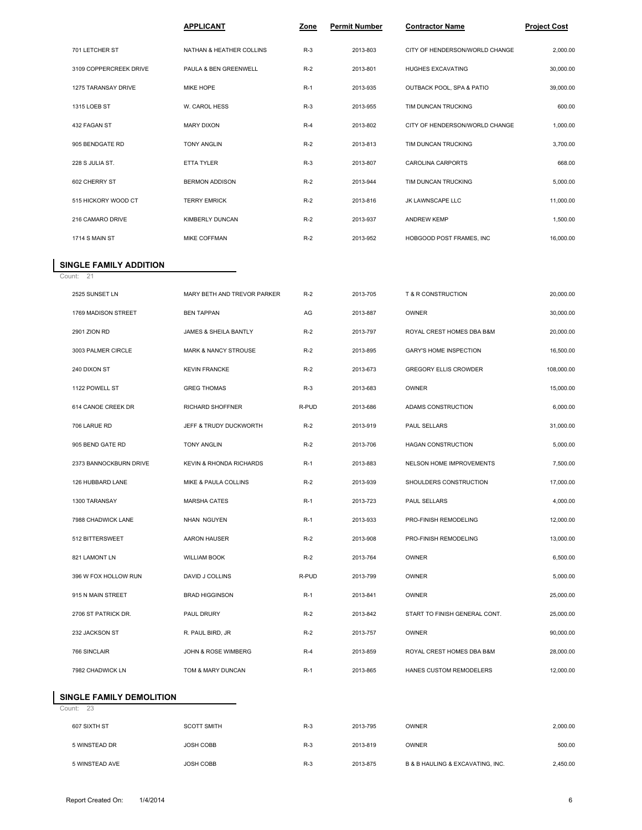|                        | <b>APPLICANT</b>         | Zone  | <b>Permit Number</b> | <b>Contractor Name</b>         | <b>Project Cost</b> |
|------------------------|--------------------------|-------|----------------------|--------------------------------|---------------------|
| 701 LETCHER ST         | NATHAN & HEATHER COLLINS | $R-3$ | 2013-803             | CITY OF HENDERSON/WORLD CHANGE | 2,000.00            |
| 3109 COPPERCREEK DRIVE | PAULA & BEN GREENWELL    | $R-2$ | 2013-801             | HUGHES EXCAVATING              | 30,000.00           |
| 1275 TARANSAY DRIVE    | <b>MIKE HOPE</b>         | $R-1$ | 2013-935             | OUTBACK POOL, SPA & PATIO      | 39,000.00           |
| 1315 LOEB ST           | W. CAROL HESS            | $R-3$ | 2013-955             | TIM DUNCAN TRUCKING            | 600.00              |
| 432 FAGAN ST           | <b>MARY DIXON</b>        | $R-4$ | 2013-802             | CITY OF HENDERSON/WORLD CHANGE | 1,000.00            |
| 905 BENDGATE RD        | <b>TONY ANGLIN</b>       | $R-2$ | 2013-813             | TIM DUNCAN TRUCKING            | 3,700.00            |
| 228 S JULIA ST.        | <b>ETTA TYLER</b>        | $R-3$ | 2013-807             | CAROLINA CARPORTS              | 668.00              |
| 602 CHERRY ST          | <b>BERMON ADDISON</b>    | $R-2$ | 2013-944             | TIM DUNCAN TRUCKING            | 5,000.00            |
| 515 HICKORY WOOD CT    | <b>TERRY EMRICK</b>      | $R-2$ | 2013-816             | JK LAWNSCAPE LLC               | 11,000.00           |
| 216 CAMARO DRIVE       | KIMBERLY DUNCAN          | $R-2$ | 2013-937             | <b>ANDREW KEMP</b>             | 1,500.00            |
| 1714 S MAIN ST         | <b>MIKE COFFMAN</b>      | $R-2$ | 2013-952             | HOBGOOD POST FRAMES, INC       | 16.000.00           |

## **SINGLE FAMILY ADDITION**<br>Count: 21

| 2525 SUNSET LN         | MARY BETH AND TREVOR PARKER     | $R-2$ | 2013-705 | T & R CONSTRUCTION            | 20,000.00  |
|------------------------|---------------------------------|-------|----------|-------------------------------|------------|
| 1769 MADISON STREET    | <b>BEN TAPPAN</b>               | AG    | 2013-887 | <b>OWNER</b>                  | 30,000.00  |
| 2901 ZION RD           | JAMES & SHEILA BANTLY           | $R-2$ | 2013-797 | ROYAL CREST HOMES DBA B&M     | 20,000.00  |
| 3003 PALMER CIRCLE     | <b>MARK &amp; NANCY STROUSE</b> | $R-2$ | 2013-895 | <b>GARY'S HOME INSPECTION</b> | 16,500.00  |
| 240 DIXON ST           | <b>KEVIN FRANCKE</b>            | $R-2$ | 2013-673 | <b>GREGORY ELLIS CROWDER</b>  | 108,000.00 |
| 1122 POWELL ST         | <b>GREG THOMAS</b>              | $R-3$ | 2013-683 | <b>OWNER</b>                  | 15,000.00  |
| 614 CANOE CREEK DR     | RICHARD SHOFFNER                | R-PUD | 2013-686 | ADAMS CONSTRUCTION            | 6,000.00   |
| 706 LARUE RD           | JEFF & TRUDY DUCKWORTH          | $R-2$ | 2013-919 | PAUL SELLARS                  | 31,000.00  |
| 905 BEND GATE RD       | <b>TONY ANGLIN</b>              | $R-2$ | 2013-706 | <b>HAGAN CONSTRUCTION</b>     | 5,000.00   |
| 2373 BANNOCKBURN DRIVE | KEVIN & RHONDA RICHARDS         | $R-1$ | 2013-883 | NELSON HOME IMPROVEMENTS      | 7,500.00   |
| 126 HUBBARD LANE       | <b>MIKE &amp; PAULA COLLINS</b> | $R-2$ | 2013-939 | SHOULDERS CONSTRUCTION        | 17,000.00  |
| 1300 TARANSAY          | <b>MARSHA CATES</b>             | $R-1$ | 2013-723 | PAUL SELLARS                  | 4,000.00   |
| 7988 CHADWICK LANE     | NHAN NGUYEN                     | $R-1$ | 2013-933 | PRO-FINISH REMODELING         | 12,000.00  |
| 512 BITTERSWEET        | <b>AARON HAUSER</b>             | $R-2$ | 2013-908 | PRO-FINISH REMODELING         | 13,000.00  |
| 821 LAMONT LN          | <b>WILLIAM BOOK</b>             | $R-2$ | 2013-764 | <b>OWNER</b>                  | 6,500.00   |
| 396 W FOX HOLLOW RUN   | DAVID J COLLINS                 | R-PUD | 2013-799 | <b>OWNER</b>                  | 5,000.00   |
| 915 N MAIN STREET      | <b>BRAD HIGGINSON</b>           | $R-1$ | 2013-841 | <b>OWNER</b>                  | 25,000.00  |
| 2706 ST PATRICK DR.    | PAUL DRURY                      | $R-2$ | 2013-842 | START TO FINISH GENERAL CONT. | 25,000.00  |
| 232 JACKSON ST         | R. PAUL BIRD, JR                | $R-2$ | 2013-757 | <b>OWNER</b>                  | 90,000.00  |
| 766 SINCLAIR           | <b>JOHN &amp; ROSE WIMBERG</b>  | $R-4$ | 2013-859 | ROYAL CREST HOMES DBA B&M     | 28,000.00  |
| 7982 CHADWICK LN       | TOM & MARY DUNCAN               | $R-1$ | 2013-865 | HANES CUSTOM REMODELERS       | 12,000.00  |

## **SINGLE FAMILY DEMOLITION**

Count: 23

| 607 SIXTH ST   | <b>SCOTT SMITH</b> | $R-3$ | 2013-795 | OWNER                            | 2,000.00 |
|----------------|--------------------|-------|----------|----------------------------------|----------|
| 5 WINSTEAD DR  | <b>JOSH COBB</b>   | $R-3$ | 2013-819 | OWNER                            | 500.00   |
| 5 WINSTEAD AVE | <b>JOSH COBB</b>   | $R-3$ | 2013-875 | B & B HAULING & EXCAVATING, INC. | 2,450.00 |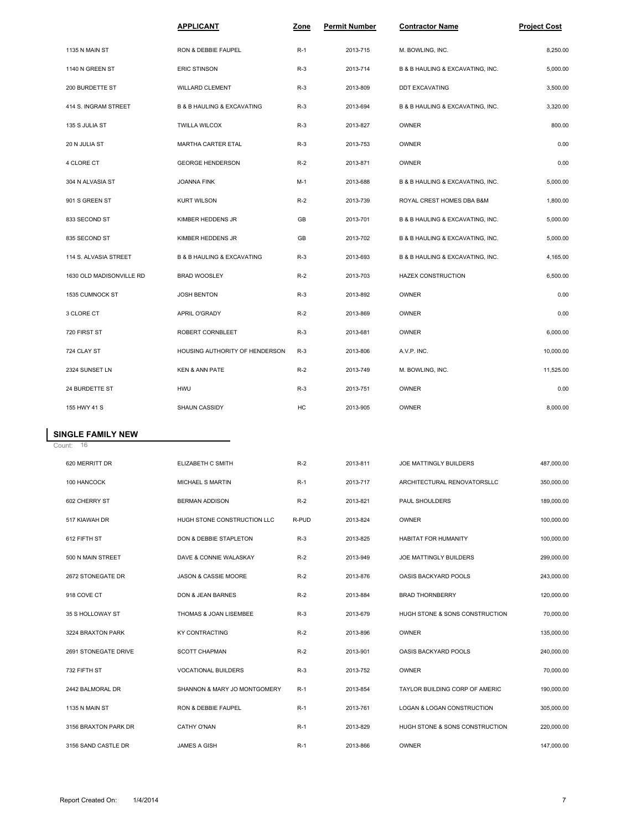|                          | <b>APPLICANT</b>                          | Zone  | <b>Permit Number</b> | <b>Contractor Name</b>           | <b>Project Cost</b> |
|--------------------------|-------------------------------------------|-------|----------------------|----------------------------------|---------------------|
| 1135 N MAIN ST           | RON & DEBBIE FAUPEL                       | $R-1$ | 2013-715             | M. BOWLING, INC.                 | 8,250.00            |
| 1140 N GREEN ST          | <b>ERIC STINSON</b>                       | $R-3$ | 2013-714             | B & B HAULING & EXCAVATING, INC. | 5,000.00            |
| 200 BURDETTE ST          | WILLARD CLEMENT                           | $R-3$ | 2013-809             | DDT EXCAVATING                   | 3,500.00            |
| 414 S. INGRAM STREET     | <b>B &amp; B HAULING &amp; EXCAVATING</b> | $R-3$ | 2013-694             | B & B HAULING & EXCAVATING, INC. | 3,320.00            |
| 135 S JULIA ST           | <b>TWILLA WILCOX</b>                      | $R-3$ | 2013-827             | <b>OWNER</b>                     | 800.00              |
| 20 N JULIA ST            | MARTHA CARTER ETAL                        | $R-3$ | 2013-753             | <b>OWNER</b>                     | 0.00                |
| 4 CLORE CT               | <b>GEORGE HENDERSON</b>                   | $R-2$ | 2013-871             | <b>OWNER</b>                     | 0.00                |
| 304 N ALVASIA ST         | JOANNA FINK                               | $M-1$ | 2013-688             | B & B HAULING & EXCAVATING, INC. | 5,000.00            |
| 901 S GREEN ST           | <b>KURT WILSON</b>                        | $R-2$ | 2013-739             | ROYAL CREST HOMES DBA B&M        | 1,800.00            |
| 833 SECOND ST            | KIMBER HEDDENS JR                         | GB    | 2013-701             | B & B HAULING & EXCAVATING, INC. | 5,000.00            |
| 835 SECOND ST            | KIMBER HEDDENS JR                         | GB    | 2013-702             | B & B HAULING & EXCAVATING, INC. | 5,000.00            |
| 114 S. ALVASIA STREET    | <b>B &amp; B HAULING &amp; EXCAVATING</b> | $R-3$ | 2013-693             | B & B HAULING & EXCAVATING, INC. | 4,165.00            |
| 1630 OLD MADISONVILLE RD | <b>BRAD WOOSLEY</b>                       | $R-2$ | 2013-703             | <b>HAZEX CONSTRUCTION</b>        | 6,500.00            |
| 1535 CUMNOCK ST          | <b>JOSH BENTON</b>                        | $R-3$ | 2013-892             | OWNER                            | 0.00                |
| 3 CLORE CT               | APRIL O'GRADY                             | $R-2$ | 2013-869             | OWNER                            | 0.00                |
| 720 FIRST ST             | ROBERT CORNBLEET                          | $R-3$ | 2013-681             | <b>OWNER</b>                     | 6,000.00            |
| 724 CLAY ST              | HOUSING AUTHORITY OF HENDERSON            | $R-3$ | 2013-806             | A.V.P. INC.                      | 10,000.00           |
| 2324 SUNSET LN           | <b>KEN &amp; ANN PATE</b>                 | $R-2$ | 2013-749             | M. BOWLING, INC.                 | 11,525.00           |
| 24 BURDETTE ST           | <b>HWU</b>                                | $R-3$ | 2013-751             | <b>OWNER</b>                     | 0.00                |
| 155 HWY 41 S             | SHAUN CASSIDY                             | HC    | 2013-905             | OWNER                            | 8,000.00            |

## **SINGLE FAMILY NEW**

Count: 16

| 620 MERRITT DR       | ELIZABETH C SMITH            | $R-2$ | 2013-811 | JOE MATTINGLY BUILDERS         | 487,000.00 |
|----------------------|------------------------------|-------|----------|--------------------------------|------------|
| 100 HANCOCK          | <b>MICHAEL S MARTIN</b>      | $R-1$ | 2013-717 | ARCHITECTURAL RENOVATORSLLC    | 350,000.00 |
| 602 CHERRY ST        | <b>BERMAN ADDISON</b>        | $R-2$ | 2013-821 | PAUL SHOULDERS                 | 189,000.00 |
| 517 KIAWAH DR        | HUGH STONE CONSTRUCTION LLC  | R-PUD | 2013-824 | OWNER                          | 100,000.00 |
| 612 FIFTH ST         | DON & DEBBIE STAPLETON       | $R-3$ | 2013-825 | <b>HABITAT FOR HUMANITY</b>    | 100,000.00 |
| 500 N MAIN STREET    | DAVE & CONNIE WALASKAY       | $R-2$ | 2013-949 | JOE MATTINGLY BUILDERS         | 299,000.00 |
| 2672 STONEGATE DR    | JASON & CASSIE MOORE         | $R-2$ | 2013-876 | <b>OASIS BACKYARD POOLS</b>    | 243,000.00 |
| 918 COVE CT          | DON & JEAN BARNES            | $R-2$ | 2013-884 | <b>BRAD THORNBERRY</b>         | 120,000.00 |
| 35 S HOLLOWAY ST     | THOMAS & JOAN LISEMBEE       | $R-3$ | 2013-679 | HUGH STONE & SONS CONSTRUCTION | 70,000.00  |
| 3224 BRAXTON PARK    | <b>KY CONTRACTING</b>        | $R-2$ | 2013-896 | OWNER                          | 135,000.00 |
| 2691 STONEGATE DRIVE | <b>SCOTT CHAPMAN</b>         | $R-2$ | 2013-901 | <b>OASIS BACKYARD POOLS</b>    | 240,000.00 |
| 732 FIFTH ST         | <b>VOCATIONAL BUILDERS</b>   | $R-3$ | 2013-752 | OWNER                          | 70,000.00  |
| 2442 BALMORAL DR     | SHANNON & MARY JO MONTGOMERY | $R-1$ | 2013-854 | TAYLOR BUILDING CORP OF AMERIC | 190.000.00 |
| 1135 N MAIN ST       | RON & DEBBIE FAUPEL          | $R-1$ | 2013-761 | LOGAN & LOGAN CONSTRUCTION     | 305,000.00 |
| 3156 BRAXTON PARK DR | CATHY O'NAN                  | $R-1$ | 2013-829 | HUGH STONE & SONS CONSTRUCTION | 220,000.00 |
| 3156 SAND CASTLE DR  | <b>JAMES A GISH</b>          | $R-1$ | 2013-866 | OWNER                          | 147,000.00 |